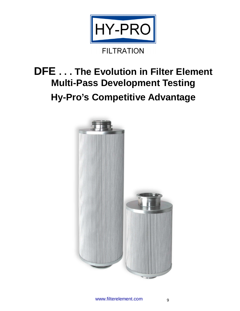

# **DFE . . . The Evolution in Filter Element Multi-Pass Development Testing Hy-Pro's Competitive Advantage**

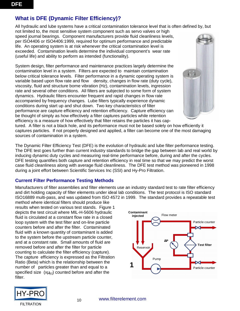# **What is DFE (Dynamic Filter Efficiency)?**

All hydraulic and lube systems have a critical contamination tolerance level that is often defined by, but

not limited to, the most sensitive system component such as servo valves or high speed journal bearings. Component manufacturers provide fluid cleanliness levels, per ISO4406 or ISO4406:1999, required for optimum performance and predictable life. An operating system is at risk whenever the critical contamination level is exceeded. Contamination levels determine the individual component's wear rate (useful life) and ability to perform as intended (functionality).

System design, filter performance and maintenance practices largely determine the contamination level in a system. Filters are expected to maintain contamination below critical tolerance levels. Filter performance in a dynamic operating system is variable based upon flow rate and flow density, changes in flow rate (duty cycle), viscosity, fluid and structure borne vibration (Hz), contamination levels, ingression rate and several other conditions. All filters are subjected to some form of system dynamics. Hydraulic filters encounter frequent and rapid changes in flow rate accompanied by frequency changes. Lube filters typically experience dynamic conditions during start up and shut down. Two key characteristics of filter performance are capture efficiency and retention efficiency. Capture efficiency can be thought of simply as how effectively a filter captures particles while retention efficiency is a measure of how effectively that filter retains the particles it has cap-



tured. A filter is not a black hole, and its performance must not be based solely on how efficiently it captures particles. If not properly designed and applied, a filter can become one of the most damaging sources of contamination in a system.

The Dynamic Filter Efficiency Test (DFE) is the evolution of hydraulic and lube filter performance testing. The DFE test goes further than current industry standards to bridge the gap between lab and real world by inducing dynamic duty cycles and measuring real-time performance before, during and after the cycles. DFE testing quantifies both capture and retention efficiency in real time so that we may predict the worst case fluid cleanliness along with average fluid cleanliness. The DFE test method was pioneered in 1998 during a joint effort between Scientific Services Inc (SSI) and Hy-Pro Filtration.

#### **Current Filter Performance Testing Methods**

Manufacturers of filter assemblies and filter elements use an industry standard test to rate filter efficiency and dirt holding capacity of filter elements under ideal lab conditions. The test protocol is ISO standard ISO16889 multi-pass, and was updated from ISO 4572 in 1999. The standard provides a repeatable test

method where identical filters should produce like results when tested on various test stands. Figure 1 depicts the test circuit where MIL-H-5606 hydraulic fluid is circulated at a constant flow rate in a closed loop system with the test filter and on-line particle counters before and after the filter. Contaminated fluid with a known quantity of contaminant is added to the system before the upstream particle counter, and at a constant rate. Small amounts of fluid are removed before and after the filter for particle counting to calculate the filter efficiency (capture). The capture efficiency is expressed as the Filtration Ratio (Beta) which is the relationship between the number of particles greater than and equal to a specified size  $(x\mu_{\text{[c]}})$  counted before and after the filter.



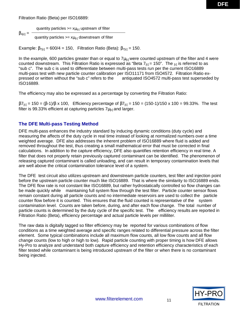Filtration Ratio (Beta) per ISO16889:

quantity particles  $>= x\mu_{\text{ic}}$  upstream of filter

 $\beta_{x}$ [c] = quantity particles  $>= x\mu_{[c]}$  downstream of filter

Example:  $\beta_{7[c]} = 600/4 = 150$ , Filtration Ratio (Beta):  $\beta_{7[c]} = 150$ .

In the example, 600 particles greater than or equal to  $7\mu_{\text{[c]}}$  were counted upstream of the filter and 4 were counted downstream. This Filtration Ratio is expressed as "Beta  $7_{\text{col}} = 150$ ". The  $_{\text{col}}$  is referred to as "sub c". The sub c is used to differentiate between multi-pass tests run per the current ISO16889 multi-pass test with new particle counter calibration per ISO11171 from ISO4572. Filtration Ratio expressed or written without the "sub c" refers to the antiquated ISO4572 multi-pass test superseded by ISO16889.

The efficiency may also be expressed as a percentage by converting the Filtration Ratio:

 $β7_{[c]} = 150 = (β-1)/β x 100$ , Efficiency percentage of  $β7_{[c]} = 150 = (150-1)/150 x 100 = 99.33%$ . The test filter is 99.33% efficient at capturing particles  $7\mu_{\text{[c]}}$  and larger.

#### **The DFE Multi-pass Testing Method**

DFE multi-pass enhances the industry standard by inducing dynamic conditions (duty cycle) and measuring the affects of the duty cycle in real time instead of looking at normalized numbers over a time weighted average. DFE also addresses the inherent problem of ISO16889 where fluid is added and removed throughout the test, thus creating a small mathematical error that must be corrected in final calculations. In addition to the capture efficiency, DFE also quantifies retention efficiency in real time. A filter that does not properly retain previously captured contaminant can be identified. The phenomenon of releasing captured contaminant is called unloading, and can result in temporary contamination levels that are well above the critical contamination tolerance level of a system.

The DFE test circuit also utilizes upstream and downstream particle counters, test filter and injection point before the upstream particle counter much like ISO16889. That is where the similarity to ISO16889 ends. The DFE flow rate is not constant like ISO16889, but rather hydrostatically controlled so flow changes can be made quickly while maintaining full system flow through the test filter. Particle counter sensor flows remain constant during all particle counts and no intermediate reservoirs are used to collect the particle counter flow before it is counted. This ensures that the fluid counted is representative of the system contamination level. Counts are taken before, during, and after each flow change. The total number of particle counts is determined by the duty cycle of the specific test. The efficiency results are reported in Filtration Ratio (Beta), efficiency percentage and actual particle levels per milliliter.

The raw data is digitally tagged so filter efficiency may be reported for various combinations of flow conditions as a time weighted average and specific ranges related to differential pressure across the filter element. Some typical combinations include all maximum flow counts, all low flow counts and all flow change counts (low to high or high to low). Rapid particle counting with proper timing is how DFE allows Hy-Pro to analyze and understand both capture efficiency and retention efficiency characteristics of each filter tested while contaminant is being introduced upstream of the filter or when there is no contaminant being injected.

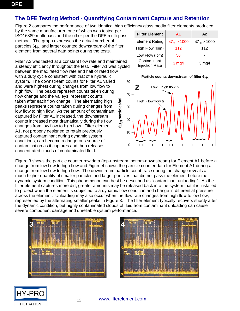# **The DFE Testing Method - Quantifying Contaminant Capture and Retention**

Figure 2 compares the performance of two identical high efficiency glass media filter elements produced

by the same manufacturer, one of which was tested per ISO16889 multi-pass and the other per the DFE multi-pass method. The graph expresses the actual number of particles  $6\mu_{\text{tol}}$  and larger counted downstream of the filter element from several data points during the tests.

Filter A2 was tested at a constant flow rate and maintained a steady efficiency throughout the test. Filter A1 was cycled between the max rated flow rate and half of rated flow with a duty cycle consistent with that of a hydraulic system. The downstream counts for Filter A1 varied and were highest during changes from low flow to high flow. The peaks represent counts taken during flow change and the valleys represent counts taken after each flow change. The alternating high peaks represent counts taken during changes from low flow to high flow. As the amount of contaminant captured by Filter A1 increased, the downstream counts increased most dramatically during the flow changes from low flow to high flow. Filter element A1, not properly designed to retain previously captured contaminant during dynamic system conditions, can become a dangerous source of contamination as it captures and then releases concentrated clouds of contaminated fluid. **6**µ<sub>[c]</sub> particles/ml µ**[c] particles/ml** 

| <b>Filter Element</b>                | A1                              | A2                              |  |  |
|--------------------------------------|---------------------------------|---------------------------------|--|--|
| <b>Element Rating</b>                | $\beta$ 7 <sub>[c]</sub> > 1000 | $\beta$ 7 <sub>[c]</sub> > 1000 |  |  |
| High Flow (Ipm)                      | 112                             | 112                             |  |  |
| Low Flow (Ipm)                       | 56                              |                                 |  |  |
| Contaminant<br><b>Injection Rate</b> | $3$ mg/l                        | $3 \text{ mg/l}$                |  |  |

**Particle counts downstream of filter 6µ**<sup>[c]</sup>



Figure 3 shows the particle counter raw data (top-upstream, bottom-downstream) for Element A1 before a change from low flow to high flow and Figure 4 shows the particle counter data for Element A1 during a change from low flow to high flow. The downstream particle count trace during the change reveals a much higher quantity of smaller particles and larger particles that did not pass the element before the dynamic system condition. This phenomenon can best be described as "contaminant unloading". As the filter element captures more dirt, greater amounts may be released back into the system that it is installed to protect when the element is subjected to a dynamic flow condition and change in differential pressure across the element. Unloading may also occur when the flow rate changes from high flow to low flow, represented by the alternating smaller peaks in Figure 3. The filter element typically recovers shortly after the dynamic condition, but highly contaminated clouds of fluid from contaminant unloading can cause severe component damage and unreliable system performance.





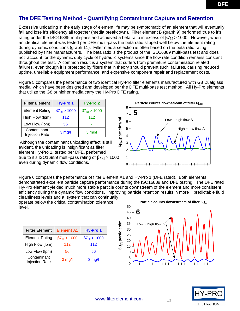# **The DFE Testing Method - Quantifying Contaminant Capture and Retention**

Excessive unloading in the early stage of element life may be symptomatic of an element that will eventually fail and lose it's efficiency all together (media breakdown). Filter element B (graph 9) performed true to it's rating under the ISO16889 multi-pass and achieved a beta ratio in excess of  $\beta T_{\text{rel}} > 1000$ . However, when an identical element was tested per DFE multi-pass the beta ratio slipped well below the element rating during dynamic conditions (graph 11). Filter media selection is often based on the beta ratio rating published by filter manufacturers. The beta ratio is the product of the ISO16889 multi-pass test and does not account for the dynamic duty cycle of hydraulic systems since the flow rate condition remains constant throughout the test. A common result is a system that suffers from premature contamination related failures, even though it is protected by filters that in theory should prevent such failures, causing reduced uptime, unreliable equipment performance, and expensive component repair and replacement costs.

Figure 5 compares the performance of two identical Hy-Pro filter elements manufactured with G8 Dualglass media which have been designed and developed per the DFE multi-pass test method. All Hy-Pro elements that utilize the G8 or higher media carry the Hy-Pro DFE rating.

| <b>Filter Element</b>                | Hy-Pro 1                        | Hy-Pro 2                        |  |  |
|--------------------------------------|---------------------------------|---------------------------------|--|--|
| <b>Element Rating</b>                | $\beta$ 7 <sub>[c]</sub> > 1000 | $\beta$ 7 <sub>[c]</sub> > 1000 |  |  |
| High Flow (Ipm)                      | 112                             | 112                             |  |  |
| Low Flow (Ipm)                       | 56                              |                                 |  |  |
| Contaminant<br><b>Injection Rate</b> | $3$ mg/                         | $3 \text{ mg}/l$                |  |  |

 Although the contaminant unloading effect is still evident, the unloading is insignificant as filter element Hy-Pro 1, tested per DFE, performed true to it's ISO16889 multi-pass rating of  $\beta$ 7<sub>[c]</sub> > 1000 even during dynamic flow conditions.



Figure 6 compares the performance of filter Element A1 and Hy-Pro 1 (DFE rated). Both elements demonstrated excellent particle capture performance during the ISO16889 and DFE testing. The DFE rated Hy-Pro element yielded much more stable particle counts downstream of the element and more consistent efficiency during the dynamic flow conditions. Improving particle retention results in more predictable fluid cleanliness levels and a system that can continually

operate below the critical contamination tolerance level.

| <b>Filter Element</b>                | <b>Element A1</b>               | Hy-Pro 1                        |  |
|--------------------------------------|---------------------------------|---------------------------------|--|
| <b>Element Rating</b>                | $\beta$ 7 <sub>[c]</sub> > 1000 | $\beta$ 7 <sub>[c]</sub> > 1000 |  |
| High Flow (Ipm)                      | 112                             | 112                             |  |
| Low Flow (Ipm)                       | 56                              | 56                              |  |
| Contaminant<br><b>Injection Rate</b> | $3$ mg/l                        | $3$ mg/                         |  |



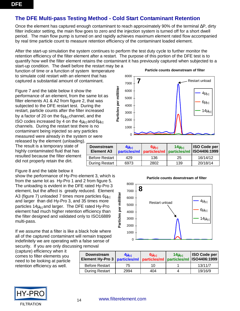# **The DFE Multi-pass Testing Method - Cold Start Contaminant Retention**

Once the element has captured enough contaminant to reach approximately 90% of the terminal ∆P, dirty filter indicator setting, the main flow goes to zero and the injection system is turned off for a short dwell period. The main flow pump is turned on and rapidly achieves maximum element rated flow accompanied by real time particle count to measure retention efficiency of the contaminant loaded element.

After the start-up simulation the system continues to perform the test duty cycle to further monitor the retention efficiency of the filter element after a restart. The purpose of this portion of the DFE test is to quantify how well the filter element retains the contaminant it has previously captured when subjected to a

start-up condition. The dwell before the restart may be a function of time or a function of system temperature to simulate cold restart with an element that has captured a substantial amount of contaminant.

Figure 7 and the table below it show the performance of an element, from the same lot as filter elements A1 & A2 from figure 2, that was subjected to the DFE restart test. During the restart, particle counts after the filter increased by a factor of 20 on the  $6\mu_{\text{[c]}}$  channel, and the ISO codes increased by 4 on the  $4\mu_{[c]}$  and  $6\mu_{[c]}$ channels. During the restart test there is no contaminant being injected so any particles measured were already in the system or were

released by the element (unloading). The result is a temporary state of highly contaminated fluid that has resulted because the filter element did not properly retain the dirt.

#### Figure 8 and the table below it

show the performance of Hy-Pro element 3, which is from the same lot as Hy-Pro 1 and 2 from figure 5. The unloading is evident in the DFE rated Hy-Pro 3 element, but the affect is greatly reduced. Element A3 (figure 7) unloaded 7 times more particles  $6\mu_{\text{col}}$ and larger than did Hy-Pro 3, and 35 times more particles  $14\mu_{\text{[c]}}$  and larger. The DFE rated Hy-Pro element had much higher retention efficiency than the filter designed and validated only to ISO16889 multi-pass.

If we assume that a filter is like a black hole where all of the captured contaminant will remain trapped indefinitely we are operating with a false sense of security. If you are only discussing removal

(capture) efficiency when it comes to filter elements you need to be looking at particle retention efficiency as well.

| <b>Downstream</b><br>Element Hy-Pro 3   particles/ml   particles/ml   particles/ml   ISO4406:1999 | $4\mu$ <sub>Ic1</sub> | $6\mu$ <sub>Ic1</sub> | 14 <sub>Urel</sub> | <b>ISO Code per</b> |
|---------------------------------------------------------------------------------------------------|-----------------------|-----------------------|--------------------|---------------------|
| <b>Before Restart</b>                                                                             | 75                    | 10                    |                    | 13/11/7             |
| <b>During Restart</b>                                                                             | 2994                  | 404                   |                    | 19/16/9             |







**Particle counts downstream of filter**

#### **Particle counts downstream of filter**



14 www.filterelement.com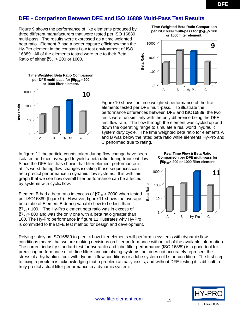## **DFE - Comparison Between DFE and ISO 16889 Multi-Pass Test Results**

Figure 9 shows the performance of like elements produced by three different manufacturers that were tested per ISO 16889 multi-pass. The results were expressed as a time weighted beta ratio. Element B had a better capture efficiency than the Hy-Pro element in the constant flow test environment of ISO 16889. All of the elements tested were true to their Beta Ratio of either  $\beta 5_{\text{[c]}} > 200$  or 1000.





Figure 10 shows the time weighted performance of the like elements tested per DFE multi-pass. To illustrate the performance differences between DFE and ISO16889, the two tests were run similarly with the only difference being the DFE test flow rate. The flow through the element was cycled up and down the operating range to simulate a real world hydraulic system duty cycle. The time weighted beta ratio for elements A and B was below the rated beta ratio while elements Hy-Pro and C performed true to rating.

In figure 11 the particle counts taken during flow change have been isolated and then averaged to yield a beta ratio during transient flow. Since the DFE test has shown that filter element performance is at it's worst during flow changes isolating those sequences can help predict performance in dynamic flow systems. It is with this graph that we see how overall filter performance can be affected by systems with cyclic flow.

Element B had a beta ratio in excess of  $\beta_{\text{[c]}} > 2000$  when tested per ISO16889 (figure 9). However, figure 11 shows the average beta ratio of Element B during variable flow to be less than  $\beta$ 7<sub>[c]</sub> > 100. The Hy-Pro element beta ratio was in excess of  $\beta$ 7<sub>[c]</sub> > 800 and was the only one with a beta ratio greater than 100. The Hy-Pro performance in figure 11 illustrates why Hy-Pro is committed to the DFE test method for design and development.

Relying solely on ISO16889 to predict how filter elements will perform in systems with dynamic flow conditions means that we are making decisions on filter performance without all of the available information. The current industry standard test for hydraulic and lube filter performance (ISO 16889) is a good tool for predicting performance of off-line filters and circulating systems, but does not accurately represent the stress of a hydraulic circuit with dynamic flow conditions or a lube system cold start condition. The first step to fixing a problem is acknowledging that a problem actually exists, and without DFE testing it is difficult to truly predict actual filter performance in a dynamic system.

**FILTRATION** 

**Time Weighted Beta Ratio Comparison per ISO16889 multi-pass for** β**5**µ**[c] > 200 or 1000 filter element.** 



**Real Time Flow** ∆ **Beta Ratio Comparison per DFE multi-pass for**  β**5**µ**[c] > 200 or 1000 filter element.**